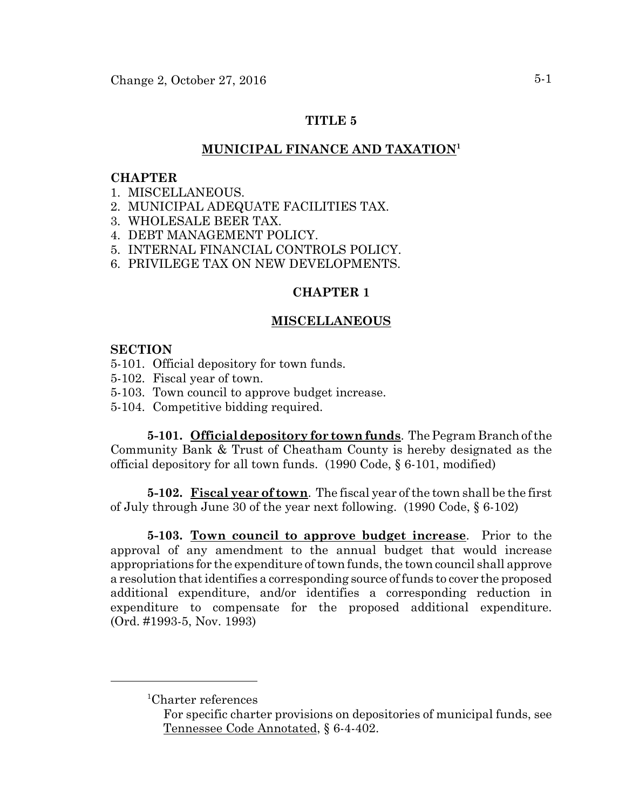## **TITLE 5**

# **MUNICIPAL FINANCE AND TAXATION1**

### **CHAPTER**

- 1. MISCELLANEOUS.
- 2. MUNICIPAL ADEQUATE FACILITIES TAX.
- 3. WHOLESALE BEER TAX.
- 4. DEBT MANAGEMENT POLICY.
- 5. INTERNAL FINANCIAL CONTROLS POLICY.
- 6. PRIVILEGE TAX ON NEW DEVELOPMENTS.

### **CHAPTER 1**

### **MISCELLANEOUS**

### **SECTION**

- 5-101. Official depository for town funds.
- 5-102. Fiscal year of town.
- 5-103. Town council to approve budget increase.
- 5-104. Competitive bidding required.

**5-101. Official depository for town funds**. The Pegram Branch of the Community Bank & Trust of Cheatham County is hereby designated as the official depository for all town funds. (1990 Code, § 6-101, modified)

**5-102. Fiscal year of town**. The fiscal year of the town shall be the first of July through June 30 of the year next following. (1990 Code, § 6-102)

**5-103. Town council to approve budget increase**. Prior to the approval of any amendment to the annual budget that would increase appropriations for the expenditure of town funds, the town council shall approve a resolution that identifies a corresponding source of funds to cover the proposed additional expenditure, and/or identifies a corresponding reduction in expenditure to compensate for the proposed additional expenditure. (Ord. #1993-5, Nov. 1993)

<sup>1</sup> Charter references

For specific charter provisions on depositories of municipal funds, see Tennessee Code Annotated, § 6-4-402.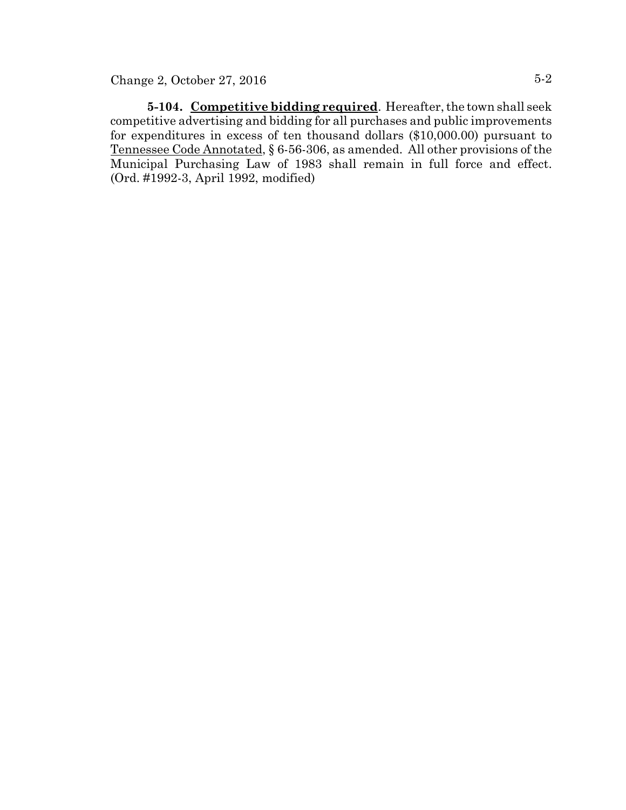**5-104. Competitive bidding required**. Hereafter, the town shall seek competitive advertising and bidding for all purchases and public improvements for expenditures in excess of ten thousand dollars (\$10,000.00) pursuant to Tennessee Code Annotated, § 6-56-306, as amended. All other provisions of the Municipal Purchasing Law of 1983 shall remain in full force and effect. (Ord. #1992-3, April 1992, modified)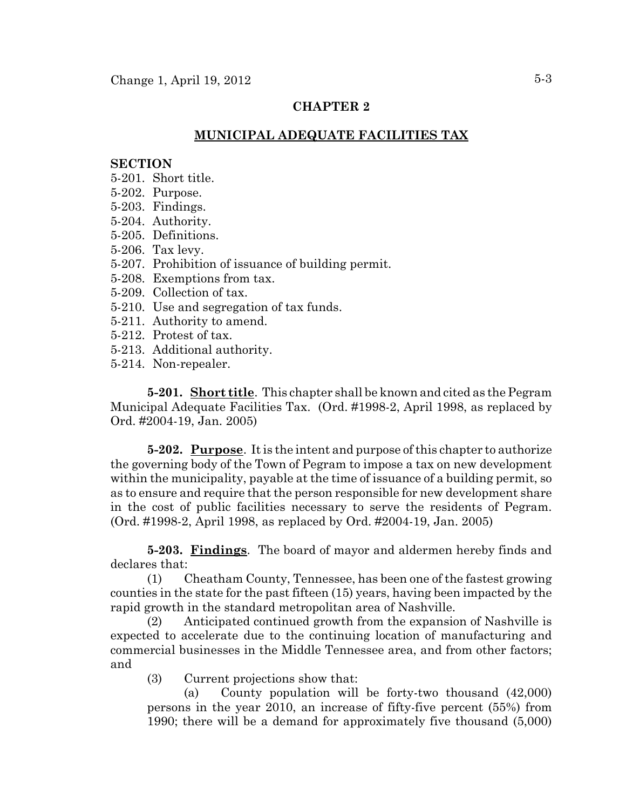## **CHAPTER 2**

## **MUNICIPAL ADEQUATE FACILITIES TAX**

#### **SECTION**

- 5-201. Short title.
- 5-202. Purpose.
- 5-203. Findings.
- 5-204. Authority.
- 5-205. Definitions.
- 5-206. Tax levy.
- 5-207. Prohibition of issuance of building permit.
- 5-208. Exemptions from tax.
- 5-209. Collection of tax.
- 5-210. Use and segregation of tax funds.
- 5-211. Authority to amend.
- 5-212. Protest of tax.
- 5-213. Additional authority.
- 5-214. Non-repealer.

**5-201. Short title**. This chapter shall be known and cited as the Pegram Municipal Adequate Facilities Tax. (Ord. #1998-2, April 1998, as replaced by Ord. #2004-19, Jan. 2005)

**5-202. Purpose**. It is the intent and purpose of this chapter to authorize the governing body of the Town of Pegram to impose a tax on new development within the municipality, payable at the time of issuance of a building permit, so as to ensure and require that the person responsible for new development share in the cost of public facilities necessary to serve the residents of Pegram. (Ord. #1998-2, April 1998, as replaced by Ord. #2004-19, Jan. 2005)

**5-203. Findings**. The board of mayor and aldermen hereby finds and declares that:

(1) Cheatham County, Tennessee, has been one of the fastest growing counties in the state for the past fifteen (15) years, having been impacted by the rapid growth in the standard metropolitan area of Nashville.

(2) Anticipated continued growth from the expansion of Nashville is expected to accelerate due to the continuing location of manufacturing and commercial businesses in the Middle Tennessee area, and from other factors; and

(3) Current projections show that:

(a) County population will be forty-two thousand (42,000) persons in the year 2010, an increase of fifty-five percent (55%) from 1990; there will be a demand for approximately five thousand (5,000)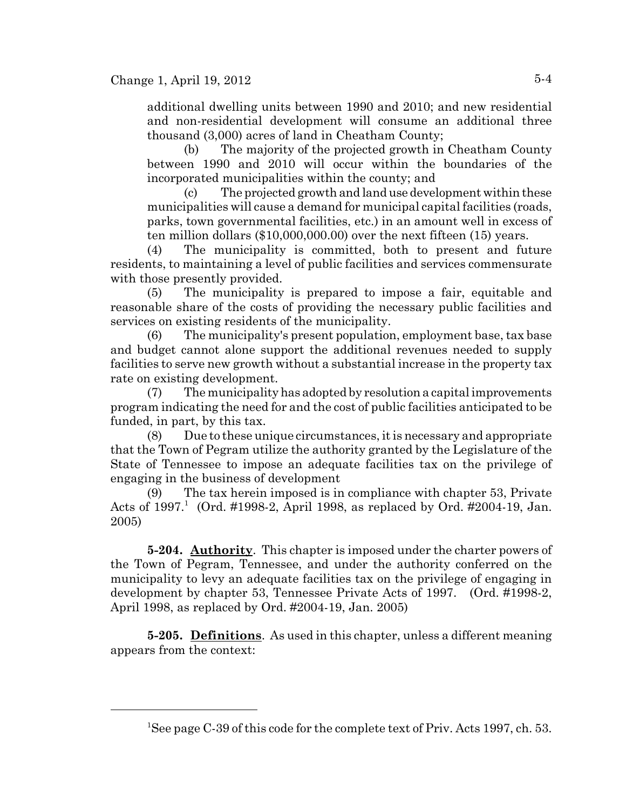additional dwelling units between 1990 and 2010; and new residential and non-residential development will consume an additional three thousand (3,000) acres of land in Cheatham County;

(b) The majority of the projected growth in Cheatham County between 1990 and 2010 will occur within the boundaries of the incorporated municipalities within the county; and

(c) The projected growth and land use development within these municipalities will cause a demand for municipal capital facilities (roads, parks, town governmental facilities, etc.) in an amount well in excess of ten million dollars (\$10,000,000.00) over the next fifteen (15) years.

(4) The municipality is committed, both to present and future residents, to maintaining a level of public facilities and services commensurate with those presently provided.

(5) The municipality is prepared to impose a fair, equitable and reasonable share of the costs of providing the necessary public facilities and services on existing residents of the municipality.

(6) The municipality's present population, employment base, tax base and budget cannot alone support the additional revenues needed to supply facilities to serve new growth without a substantial increase in the property tax rate on existing development.

(7) The municipality has adopted by resolution a capital improvements program indicating the need for and the cost of public facilities anticipated to be funded, in part, by this tax.

(8) Due to these unique circumstances, it is necessary and appropriate that the Town of Pegram utilize the authority granted by the Legislature of the State of Tennessee to impose an adequate facilities tax on the privilege of engaging in the business of development

(9) The tax herein imposed is in compliance with chapter 53, Private Acts of  $1997<sup>1</sup>$  (Ord. #1998-2, April 1998, as replaced by Ord. #2004-19, Jan. 2005)

**5-204. Authority**. This chapter is imposed under the charter powers of the Town of Pegram, Tennessee, and under the authority conferred on the municipality to levy an adequate facilities tax on the privilege of engaging in development by chapter 53, Tennessee Private Acts of 1997. (Ord. #1998-2, April 1998, as replaced by Ord. #2004-19, Jan. 2005)

**5-205. Definitions**. As used in this chapter, unless a different meaning appears from the context:

<sup>&</sup>lt;sup>1</sup>See page C-39 of this code for the complete text of Priv. Acts 1997, ch. 53.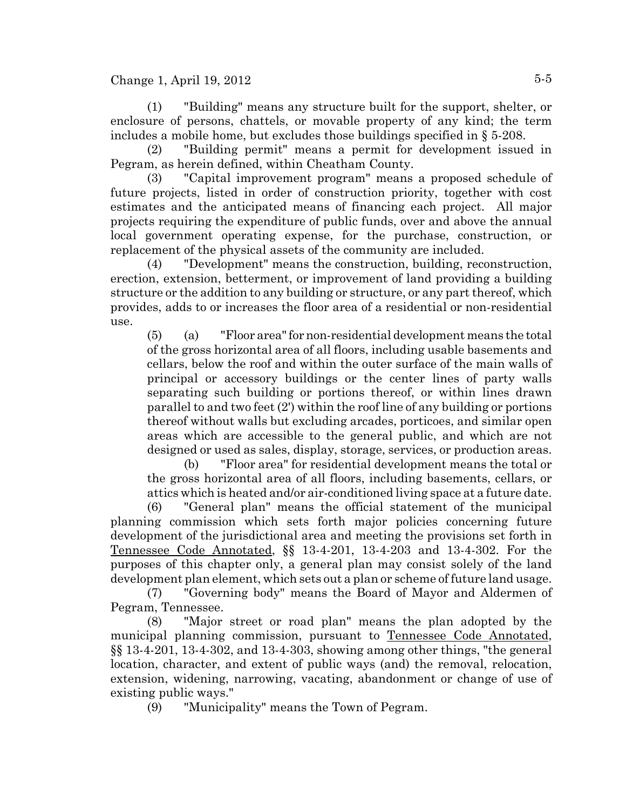(1) "Building" means any structure built for the support, shelter, or enclosure of persons, chattels, or movable property of any kind; the term includes a mobile home, but excludes those buildings specified in § 5-208.

(2) "Building permit" means a permit for development issued in Pegram, as herein defined, within Cheatham County.

(3) "Capital improvement program" means a proposed schedule of future projects, listed in order of construction priority, together with cost estimates and the anticipated means of financing each project. All major projects requiring the expenditure of public funds, over and above the annual local government operating expense, for the purchase, construction, or replacement of the physical assets of the community are included.

(4) "Development" means the construction, building, reconstruction, erection, extension, betterment, or improvement of land providing a building structure or the addition to any building or structure, or any part thereof, which provides, adds to or increases the floor area of a residential or non-residential use.

(5) (a) "Floor area" for non-residential development means the total of the gross horizontal area of all floors, including usable basements and cellars, below the roof and within the outer surface of the main walls of principal or accessory buildings or the center lines of party walls separating such building or portions thereof, or within lines drawn parallel to and two feet (2') within the roof line of any building or portions thereof without walls but excluding arcades, porticoes, and similar open areas which are accessible to the general public, and which are not designed or used as sales, display, storage, services, or production areas.

(b) "Floor area" for residential development means the total or the gross horizontal area of all floors, including basements, cellars, or attics which is heated and/or air-conditioned living space at a future date.

(6) "General plan" means the official statement of the municipal planning commission which sets forth major policies concerning future development of the jurisdictional area and meeting the provisions set forth in Tennessee Code Annotated, §§ 13-4-201, 13-4-203 and 13-4-302. For the purposes of this chapter only, a general plan may consist solely of the land development plan element, which sets out a plan or scheme of future land usage.

(7) "Governing body" means the Board of Mayor and Aldermen of Pegram, Tennessee.

(8) "Major street or road plan" means the plan adopted by the municipal planning commission, pursuant to Tennessee Code Annotated, §§ 13-4-201, 13-4-302, and 13-4-303, showing among other things, "the general location, character, and extent of public ways (and) the removal, relocation, extension, widening, narrowing, vacating, abandonment or change of use of existing public ways."

(9) "Municipality" means the Town of Pegram.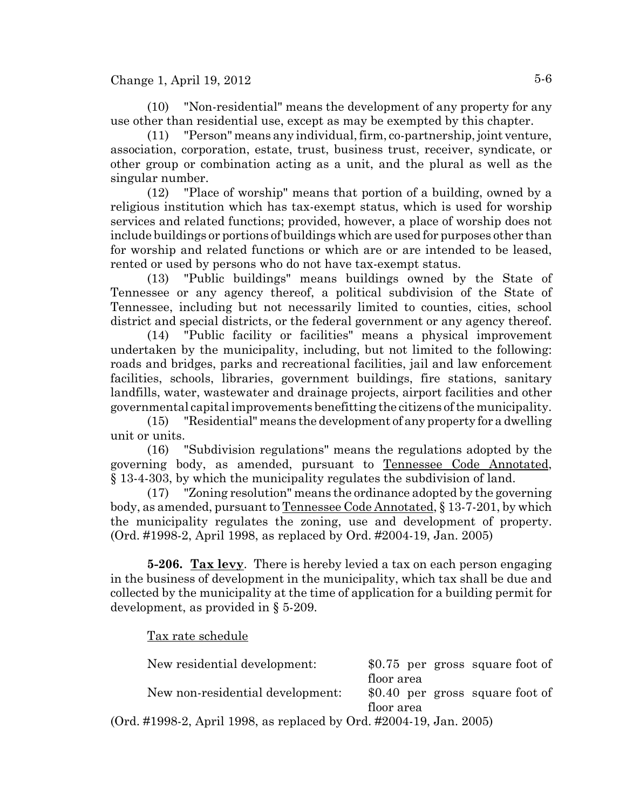(10) "Non-residential" means the development of any property for any use other than residential use, except as may be exempted by this chapter.

(11) "Person" means any individual, firm, co-partnership, joint venture, association, corporation, estate, trust, business trust, receiver, syndicate, or other group or combination acting as a unit, and the plural as well as the singular number.

(12) "Place of worship" means that portion of a building, owned by a religious institution which has tax-exempt status, which is used for worship services and related functions; provided, however, a place of worship does not include buildings or portions of buildings which are used for purposes other than for worship and related functions or which are or are intended to be leased, rented or used by persons who do not have tax-exempt status.

(13) "Public buildings" means buildings owned by the State of Tennessee or any agency thereof, a political subdivision of the State of Tennessee, including but not necessarily limited to counties, cities, school district and special districts, or the federal government or any agency thereof.

(14) "Public facility or facilities" means a physical improvement undertaken by the municipality, including, but not limited to the following: roads and bridges, parks and recreational facilities, jail and law enforcement facilities, schools, libraries, government buildings, fire stations, sanitary landfills, water, wastewater and drainage projects, airport facilities and other governmental capital improvements benefitting the citizens of the municipality.

(15) "Residential" means the development of any property for a dwelling unit or units.

(16) "Subdivision regulations" means the regulations adopted by the governing body, as amended, pursuant to Tennessee Code Annotated, § 13-4-303, by which the municipality regulates the subdivision of land.

(17) "Zoning resolution" means the ordinance adopted by the governing body, as amended, pursuant to Tennessee Code Annotated, § 13-7-201, by which the municipality regulates the zoning, use and development of property. (Ord. #1998-2, April 1998, as replaced by Ord. #2004-19, Jan. 2005)

**5-206. Tax levy**. There is hereby levied a tax on each person engaging in the business of development in the municipality, which tax shall be due and collected by the municipality at the time of application for a building permit for development, as provided in § 5-209.

Tax rate schedule

| New residential development:                                    | \$0.75 per gross square foot of |
|-----------------------------------------------------------------|---------------------------------|
|                                                                 | floor area                      |
| New non-residential development:                                | \$0.40 per gross square foot of |
|                                                                 | floor area                      |
| $\#1998.2$ April 1998 as replaced by Ord $\#2004.19$ Jan $2005$ |                                 |

(Ord. #1998-2, April 1998, as replaced by Ord. #2004-19, Jan. 2005)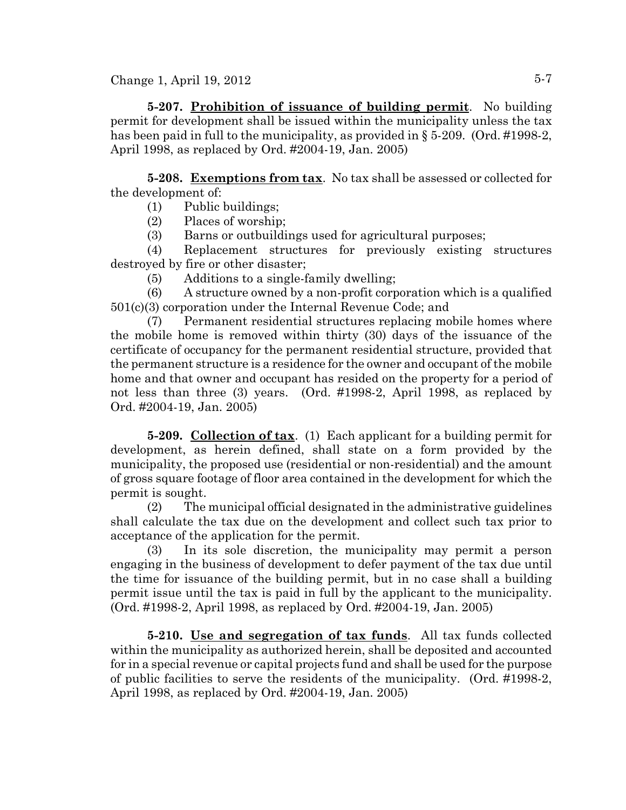**5-207. Prohibition of issuance of building permit**. No building permit for development shall be issued within the municipality unless the tax has been paid in full to the municipality, as provided in § 5-209. (Ord. #1998-2, April 1998, as replaced by Ord. #2004-19, Jan. 2005)

**5-208. Exemptions from tax**. No tax shall be assessed or collected for the development of:

- (1) Public buildings;
- (2) Places of worship;
- (3) Barns or outbuildings used for agricultural purposes;

(4) Replacement structures for previously existing structures destroyed by fire or other disaster;

(5) Additions to a single-family dwelling;

(6) A structure owned by a non-profit corporation which is a qualified 501(c)(3) corporation under the Internal Revenue Code; and

(7) Permanent residential structures replacing mobile homes where the mobile home is removed within thirty (30) days of the issuance of the certificate of occupancy for the permanent residential structure, provided that the permanent structure is a residence for the owner and occupant of the mobile home and that owner and occupant has resided on the property for a period of not less than three (3) years. (Ord. #1998-2, April 1998, as replaced by Ord. #2004-19, Jan. 2005)

**5-209. Collection of tax**. (1) Each applicant for a building permit for development, as herein defined, shall state on a form provided by the municipality, the proposed use (residential or non-residential) and the amount of gross square footage of floor area contained in the development for which the permit is sought.

(2) The municipal official designated in the administrative guidelines shall calculate the tax due on the development and collect such tax prior to acceptance of the application for the permit.

(3) In its sole discretion, the municipality may permit a person engaging in the business of development to defer payment of the tax due until the time for issuance of the building permit, but in no case shall a building permit issue until the tax is paid in full by the applicant to the municipality. (Ord. #1998-2, April 1998, as replaced by Ord. #2004-19, Jan. 2005)

**5-210. Use and segregation of tax funds**. All tax funds collected within the municipality as authorized herein, shall be deposited and accounted for in a special revenue or capital projects fund and shall be used for the purpose of public facilities to serve the residents of the municipality. (Ord. #1998-2, April 1998, as replaced by Ord. #2004-19, Jan. 2005)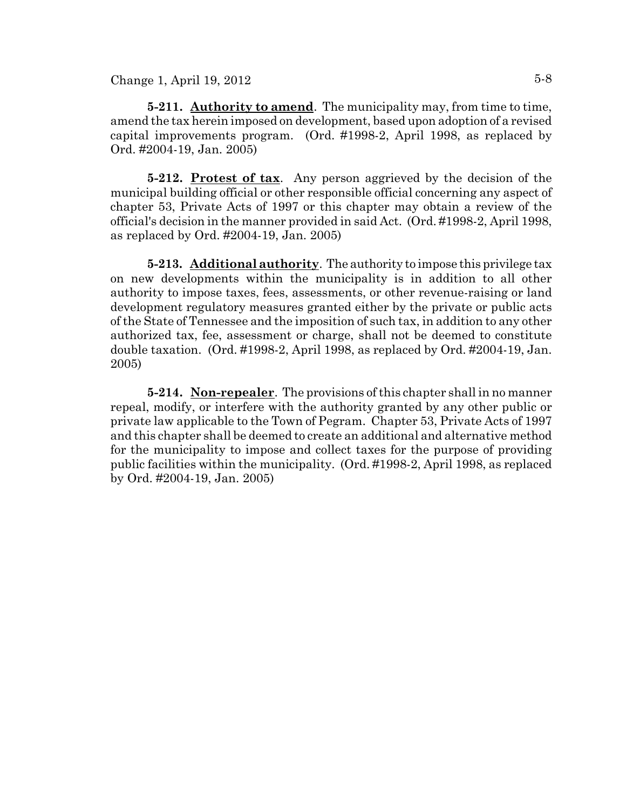**5-211. Authority to amend**. The municipality may, from time to time, amend the tax herein imposed on development, based upon adoption of a revised capital improvements program. (Ord. #1998-2, April 1998, as replaced by Ord. #2004-19, Jan. 2005)

**5-212. Protest of tax**. Any person aggrieved by the decision of the municipal building official or other responsible official concerning any aspect of chapter 53, Private Acts of 1997 or this chapter may obtain a review of the official's decision in the manner provided in said Act. (Ord. #1998-2, April 1998, as replaced by Ord. #2004-19, Jan. 2005)

**5-213. Additional authority**. The authority to impose this privilege tax on new developments within the municipality is in addition to all other authority to impose taxes, fees, assessments, or other revenue-raising or land development regulatory measures granted either by the private or public acts of the State of Tennessee and the imposition of such tax, in addition to any other authorized tax, fee, assessment or charge, shall not be deemed to constitute double taxation. (Ord. #1998-2, April 1998, as replaced by Ord. #2004-19, Jan. 2005)

**5-214. Non-repealer**. The provisions of this chapter shall in no manner repeal, modify, or interfere with the authority granted by any other public or private law applicable to the Town of Pegram. Chapter 53, Private Acts of 1997 and this chapter shall be deemed to create an additional and alternative method for the municipality to impose and collect taxes for the purpose of providing public facilities within the municipality. (Ord. #1998-2, April 1998, as replaced by Ord. #2004-19, Jan. 2005)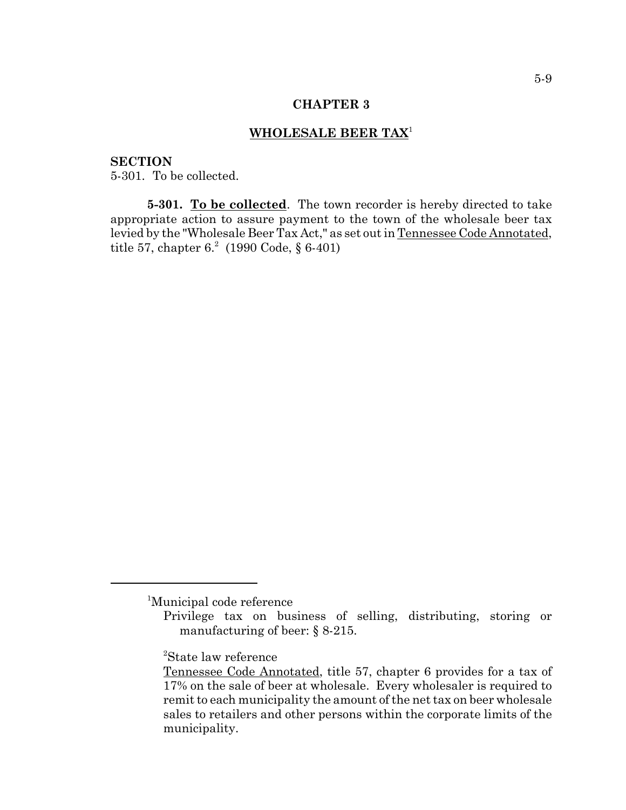#### **CHAPTER 3**

### **WHOLESALE BEER TAX**<sup>1</sup>

### **SECTION**

5-301. To be collected.

**5-301. To be collected**. The town recorder is hereby directed to take appropriate action to assure payment to the town of the wholesale beer tax levied by the "Wholesale Beer Tax Act," as set out in Tennessee Code Annotated, title 57, chapter  $6.2 \text{ (1990 Code, § } 6\text{-}401)$ 

<sup>1</sup> Municipal code reference

Privilege tax on business of selling, distributing, storing or manufacturing of beer: § 8-215.

<sup>2</sup> State law reference

Tennessee Code Annotated, title 57, chapter 6 provides for a tax of 17% on the sale of beer at wholesale. Every wholesaler is required to remit to each municipality the amount of the net tax on beer wholesale sales to retailers and other persons within the corporate limits of the municipality.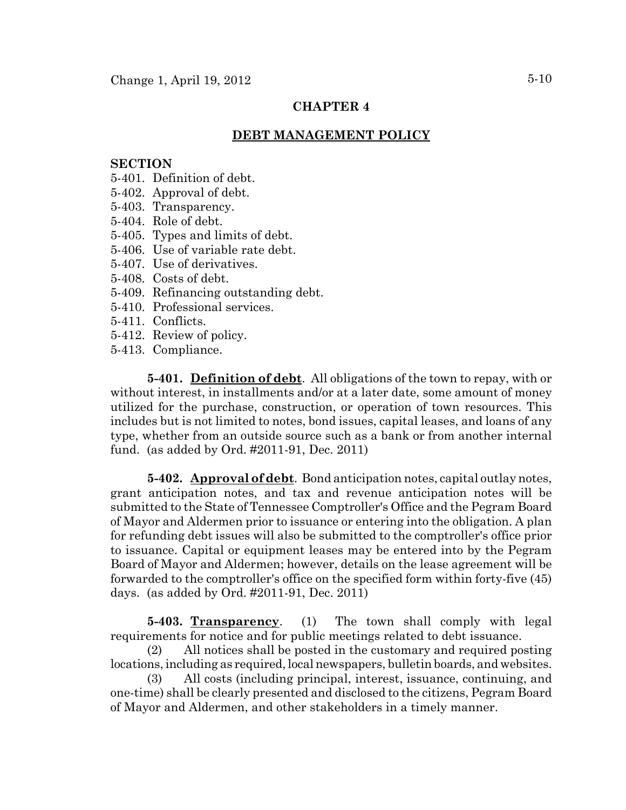## **CHAPTER 4**

### **DEBT MANAGEMENT POLICY**

#### **SECTION**

- 5-401. Definition of debt.
- 5-402. Approval of debt.
- 5-403. Transparency.
- 5-404. Role of debt.
- 5-405. Types and limits of debt.
- 5-406. Use of variable rate debt.
- 5-407. Use of derivatives.
- 5-408. Costs of debt.
- 5-409. Refinancing outstanding debt.
- 5-410. Professional services.
- 5-411. Conflicts.
- 5-412. Review of policy.
- 5-413. Compliance.

**5-401. Definition of debt**. All obligations of the town to repay, with or without interest, in installments and/or at a later date, some amount of money utilized for the purchase, construction, or operation of town resources. This includes but is not limited to notes, bond issues, capital leases, and loans of any type, whether from an outside source such as a bank or from another internal fund. (as added by Ord. #2011-91, Dec. 2011)

**5-402. Approval of debt**. Bond anticipation notes, capital outlay notes, grant anticipation notes, and tax and revenue anticipation notes will be submitted to the State of Tennessee Comptroller's Office and the Pegram Board of Mayor and Aldermen prior to issuance or entering into the obligation. A plan for refunding debt issues will also be submitted to the comptroller's office prior to issuance. Capital or equipment leases may be entered into by the Pegram Board of Mayor and Aldermen; however, details on the lease agreement will be forwarded to the comptroller's office on the specified form within forty-five (45) days. (as added by Ord. #2011-91, Dec. 2011)

**5-403. Transparency**. (1) The town shall comply with legal requirements for notice and for public meetings related to debt issuance.

(2) All notices shall be posted in the customary and required posting locations, including as required, local newspapers, bulletin boards, and websites.

(3) All costs (including principal, interest, issuance, continuing, and one-time) shall be clearly presented and disclosed to the citizens, Pegram Board of Mayor and Aldermen, and other stakeholders in a timely manner.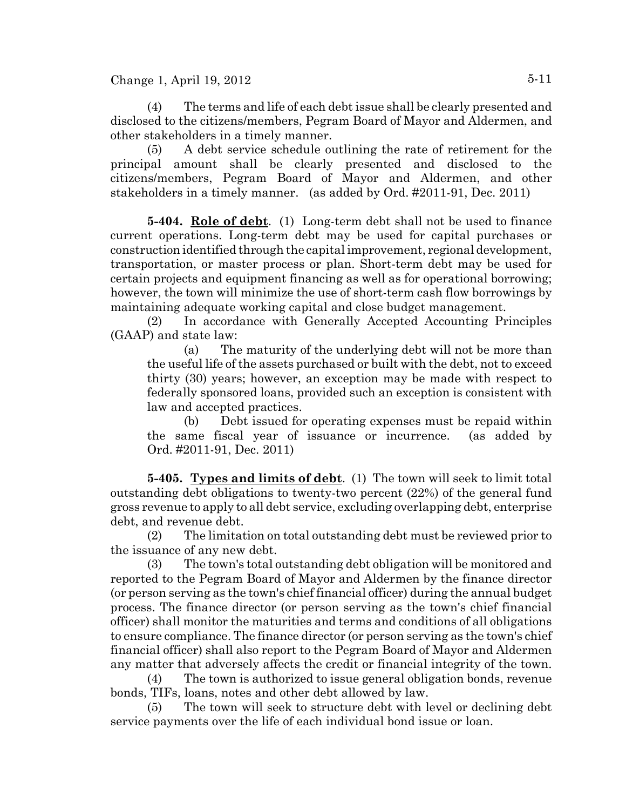(4) The terms and life of each debt issue shall be clearly presented and disclosed to the citizens/members, Pegram Board of Mayor and Aldermen, and other stakeholders in a timely manner.

(5) A debt service schedule outlining the rate of retirement for the principal amount shall be clearly presented and disclosed to the citizens/members, Pegram Board of Mayor and Aldermen, and other stakeholders in a timely manner. (as added by Ord. #2011-91, Dec. 2011)

**5-404. Role of debt**. (1) Long-term debt shall not be used to finance current operations. Long-term debt may be used for capital purchases or construction identified through the capital improvement, regional development, transportation, or master process or plan. Short-term debt may be used for certain projects and equipment financing as well as for operational borrowing; however, the town will minimize the use of short-term cash flow borrowings by maintaining adequate working capital and close budget management.

(2) In accordance with Generally Accepted Accounting Principles (GAAP) and state law:

(a) The maturity of the underlying debt will not be more than the useful life of the assets purchased or built with the debt, not to exceed thirty (30) years; however, an exception may be made with respect to federally sponsored loans, provided such an exception is consistent with law and accepted practices.

(b) Debt issued for operating expenses must be repaid within the same fiscal year of issuance or incurrence. (as added by Ord. #2011-91, Dec. 2011)

**5-405. Types and limits of debt**. (1) The town will seek to limit total outstanding debt obligations to twenty-two percent (22%) of the general fund gross revenue to apply to all debt service, excluding overlapping debt, enterprise debt, and revenue debt.

(2) The limitation on total outstanding debt must be reviewed prior to the issuance of any new debt.

(3) The town's total outstanding debt obligation will be monitored and reported to the Pegram Board of Mayor and Aldermen by the finance director (or person serving as the town's chief financial officer) during the annual budget process. The finance director (or person serving as the town's chief financial officer) shall monitor the maturities and terms and conditions of all obligations to ensure compliance. The finance director (or person serving as the town's chief financial officer) shall also report to the Pegram Board of Mayor and Aldermen any matter that adversely affects the credit or financial integrity of the town.

(4) The town is authorized to issue general obligation bonds, revenue bonds, TIFs, loans, notes and other debt allowed by law.

(5) The town will seek to structure debt with level or declining debt service payments over the life of each individual bond issue or loan.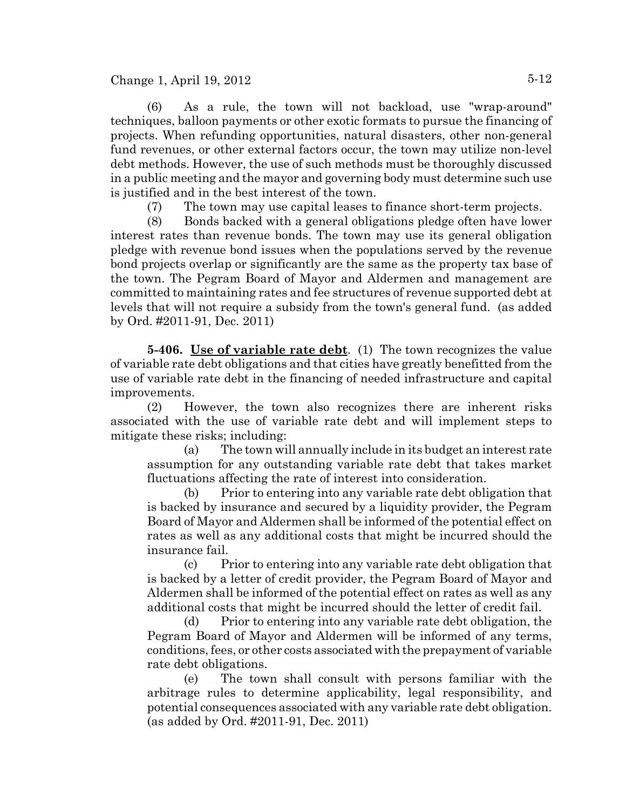(6) As a rule, the town will not backload, use "wrap-around" techniques, balloon payments or other exotic formats to pursue the financing of projects. When refunding opportunities, natural disasters, other non-general fund revenues, or other external factors occur, the town may utilize non-level debt methods. However, the use of such methods must be thoroughly discussed in a public meeting and the mayor and governing body must determine such use is justified and in the best interest of the town.

(7) The town may use capital leases to finance short-term projects.

(8) Bonds backed with a general obligations pledge often have lower interest rates than revenue bonds. The town may use its general obligation pledge with revenue bond issues when the populations served by the revenue bond projects overlap or significantly are the same as the property tax base of the town. The Pegram Board of Mayor and Aldermen and management are committed to maintaining rates and fee structures of revenue supported debt at levels that will not require a subsidy from the town's general fund. (as added by Ord. #2011-91, Dec. 2011)

**5-406. Use of variable rate debt**. (1) The town recognizes the value of variable rate debt obligations and that cities have greatly benefitted from the use of variable rate debt in the financing of needed infrastructure and capital improvements.

(2) However, the town also recognizes there are inherent risks associated with the use of variable rate debt and will implement steps to mitigate these risks; including:

(a) The town will annually include in its budget an interest rate assumption for any outstanding variable rate debt that takes market fluctuations affecting the rate of interest into consideration.

(b) Prior to entering into any variable rate debt obligation that is backed by insurance and secured by a liquidity provider, the Pegram Board of Mayor and Aldermen shall be informed of the potential effect on rates as well as any additional costs that might be incurred should the insurance fail.

(c) Prior to entering into any variable rate debt obligation that is backed by a letter of credit provider, the Pegram Board of Mayor and Aldermen shall be informed of the potential effect on rates as well as any additional costs that might be incurred should the letter of credit fail.

(d) Prior to entering into any variable rate debt obligation, the Pegram Board of Mayor and Aldermen will be informed of any terms, conditions, fees, or other costs associated with the prepayment of variable rate debt obligations.

(e) The town shall consult with persons familiar with the arbitrage rules to determine applicability, legal responsibility, and potential consequences associated with any variable rate debt obligation. (as added by Ord. #2011-91, Dec. 2011)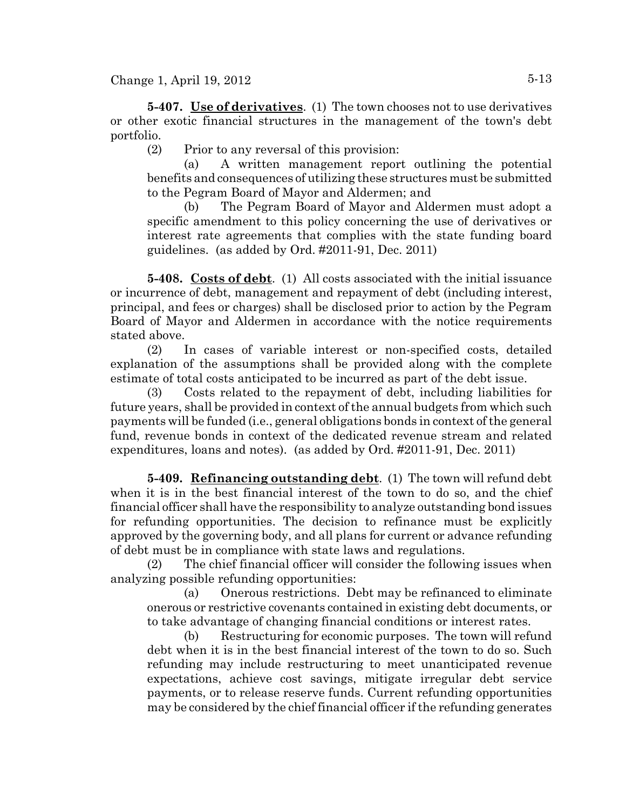**5-407. Use of derivatives**. (1) The town chooses not to use derivatives or other exotic financial structures in the management of the town's debt portfolio.

(2) Prior to any reversal of this provision:

(a) A written management report outlining the potential benefits and consequences of utilizing these structures must be submitted to the Pegram Board of Mayor and Aldermen; and

(b) The Pegram Board of Mayor and Aldermen must adopt a specific amendment to this policy concerning the use of derivatives or interest rate agreements that complies with the state funding board guidelines. (as added by Ord. #2011-91, Dec. 2011)

**5-408. Costs of debt**. (1) All costs associated with the initial issuance or incurrence of debt, management and repayment of debt (including interest, principal, and fees or charges) shall be disclosed prior to action by the Pegram Board of Mayor and Aldermen in accordance with the notice requirements stated above.

(2) In cases of variable interest or non-specified costs, detailed explanation of the assumptions shall be provided along with the complete estimate of total costs anticipated to be incurred as part of the debt issue.

(3) Costs related to the repayment of debt, including liabilities for future years, shall be provided in context of the annual budgets from which such payments will be funded (i.e., general obligations bonds in context of the general fund, revenue bonds in context of the dedicated revenue stream and related expenditures, loans and notes). (as added by Ord. #2011-91, Dec. 2011)

**5-409. Refinancing outstanding debt**. (1) The town will refund debt when it is in the best financial interest of the town to do so, and the chief financial officer shall have the responsibility to analyze outstanding bond issues for refunding opportunities. The decision to refinance must be explicitly approved by the governing body, and all plans for current or advance refunding of debt must be in compliance with state laws and regulations.

(2) The chief financial officer will consider the following issues when analyzing possible refunding opportunities:

(a) Onerous restrictions. Debt may be refinanced to eliminate onerous or restrictive covenants contained in existing debt documents, or to take advantage of changing financial conditions or interest rates.

(b) Restructuring for economic purposes. The town will refund debt when it is in the best financial interest of the town to do so. Such refunding may include restructuring to meet unanticipated revenue expectations, achieve cost savings, mitigate irregular debt service payments, or to release reserve funds. Current refunding opportunities may be considered by the chief financial officer if the refunding generates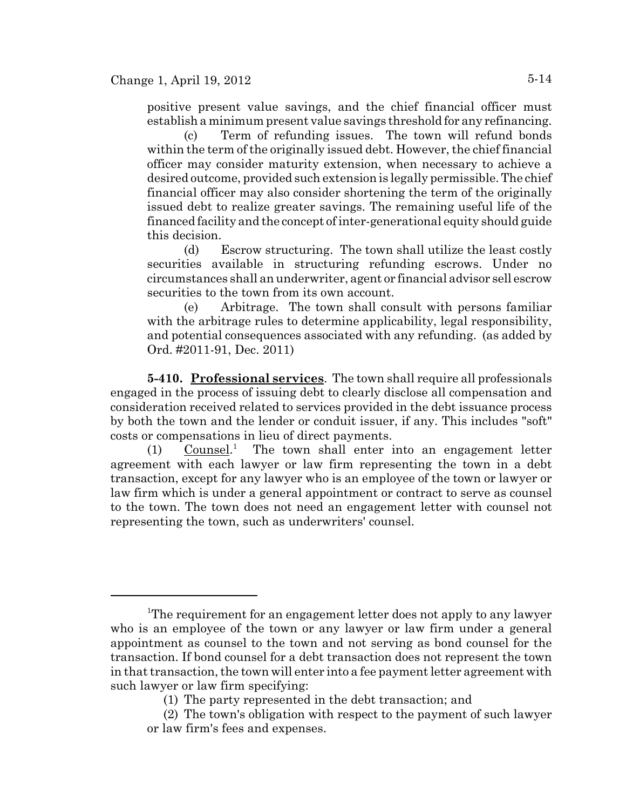positive present value savings, and the chief financial officer must establish a minimum present value savings threshold for any refinancing.

(c) Term of refunding issues. The town will refund bonds within the term of the originally issued debt. However, the chief financial officer may consider maturity extension, when necessary to achieve a desired outcome, provided such extension is legally permissible. The chief financial officer may also consider shortening the term of the originally issued debt to realize greater savings. The remaining useful life of the financed facility and the concept of inter-generational equity should guide this decision.

(d) Escrow structuring. The town shall utilize the least costly securities available in structuring refunding escrows. Under no circumstances shall an underwriter, agent or financial advisor sell escrow securities to the town from its own account.

(e) Arbitrage. The town shall consult with persons familiar with the arbitrage rules to determine applicability, legal responsibility, and potential consequences associated with any refunding. (as added by Ord. #2011-91, Dec. 2011)

**5-410. Professional services**. The town shall require all professionals engaged in the process of issuing debt to clearly disclose all compensation and consideration received related to services provided in the debt issuance process by both the town and the lender or conduit issuer, if any. This includes "soft" costs or compensations in lieu of direct payments.

 $(1)$  Counsel.<sup>1</sup> The town shall enter into an engagement letter agreement with each lawyer or law firm representing the town in a debt transaction, except for any lawyer who is an employee of the town or lawyer or law firm which is under a general appointment or contract to serve as counsel to the town. The town does not need an engagement letter with counsel not representing the town, such as underwriters' counsel.

<sup>&</sup>lt;sup>1</sup>The requirement for an engagement letter does not apply to any lawyer who is an employee of the town or any lawyer or law firm under a general appointment as counsel to the town and not serving as bond counsel for the transaction. If bond counsel for a debt transaction does not represent the town in that transaction, the town will enter into a fee payment letter agreement with such lawyer or law firm specifying:

<sup>(1)</sup> The party represented in the debt transaction; and

<sup>(2)</sup> The town's obligation with respect to the payment of such lawyer or law firm's fees and expenses.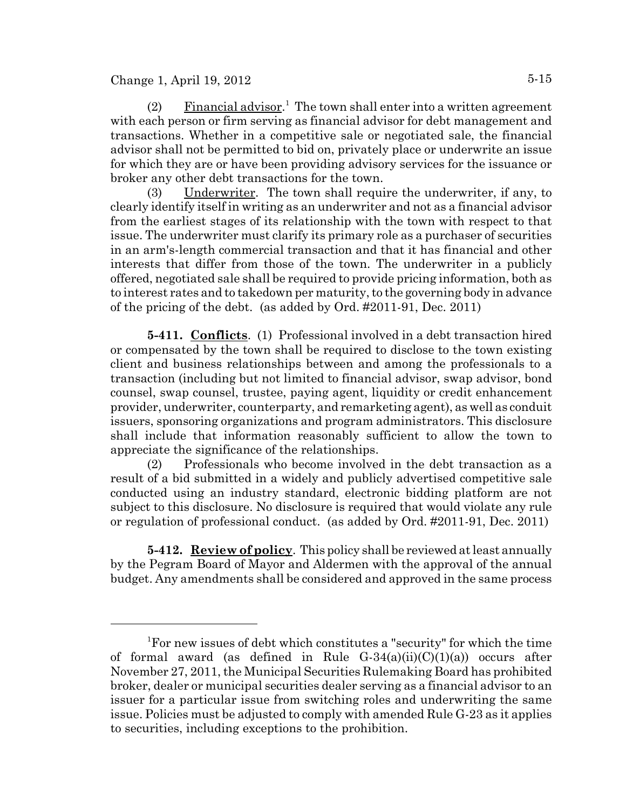(2) Financial advisor.<sup>1</sup> The town shall enter into a written agreement with each person or firm serving as financial advisor for debt management and transactions. Whether in a competitive sale or negotiated sale, the financial advisor shall not be permitted to bid on, privately place or underwrite an issue for which they are or have been providing advisory services for the issuance or broker any other debt transactions for the town.

(3) Underwriter. The town shall require the underwriter, if any, to clearly identify itself in writing as an underwriter and not as a financial advisor from the earliest stages of its relationship with the town with respect to that issue. The underwriter must clarify its primary role as a purchaser of securities in an arm's-length commercial transaction and that it has financial and other interests that differ from those of the town. The underwriter in a publicly offered, negotiated sale shall be required to provide pricing information, both as to interest rates and to takedown per maturity, to the governing body in advance of the pricing of the debt. (as added by Ord. #2011-91, Dec. 2011)

**5-411. Conflicts**. (1) Professional involved in a debt transaction hired or compensated by the town shall be required to disclose to the town existing client and business relationships between and among the professionals to a transaction (including but not limited to financial advisor, swap advisor, bond counsel, swap counsel, trustee, paying agent, liquidity or credit enhancement provider, underwriter, counterparty, and remarketing agent), as well as conduit issuers, sponsoring organizations and program administrators. This disclosure shall include that information reasonably sufficient to allow the town to appreciate the significance of the relationships.

(2) Professionals who become involved in the debt transaction as a result of a bid submitted in a widely and publicly advertised competitive sale conducted using an industry standard, electronic bidding platform are not subject to this disclosure. No disclosure is required that would violate any rule or regulation of professional conduct. (as added by Ord. #2011-91, Dec. 2011)

**5-412. Review of policy**. This policy shall be reviewed at least annually by the Pegram Board of Mayor and Aldermen with the approval of the annual budget. Any amendments shall be considered and approved in the same process

<sup>1</sup> For new issues of debt which constitutes a "security" for which the time of formal award (as defined in Rule  $G-34(a)(ii)(C)(1)(a)$  occurs after November 27, 2011, the Municipal Securities Rulemaking Board has prohibited broker, dealer or municipal securities dealer serving as a financial advisor to an issuer for a particular issue from switching roles and underwriting the same issue. Policies must be adjusted to comply with amended Rule G-23 as it applies to securities, including exceptions to the prohibition.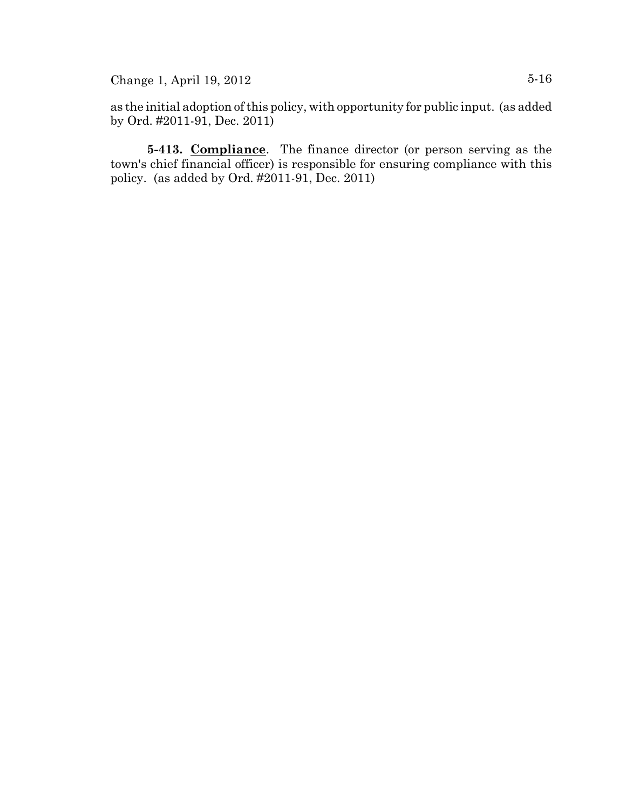as the initial adoption of this policy, with opportunity for public input. (as added by Ord. #2011-91, Dec. 2011)

**5-413. Compliance**. The finance director (or person serving as the town's chief financial officer) is responsible for ensuring compliance with this policy. (as added by Ord. #2011-91, Dec. 2011)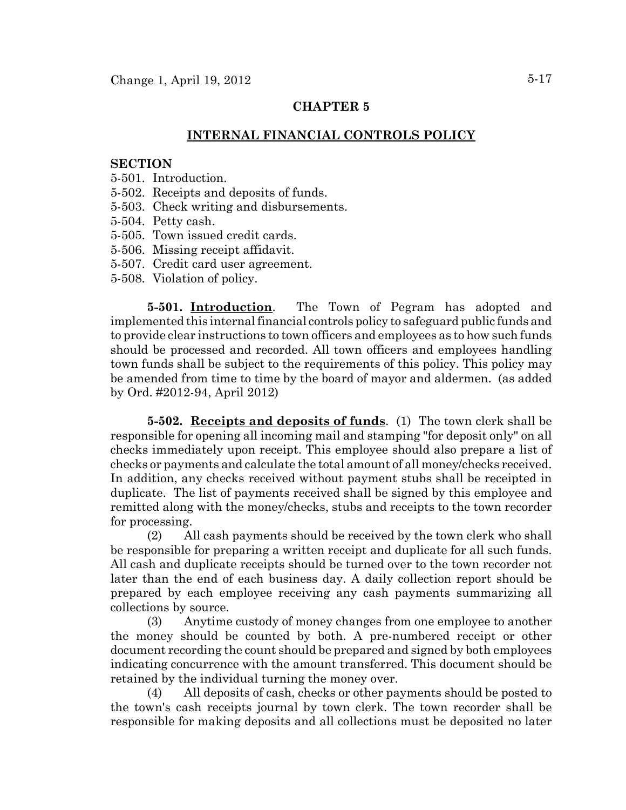## **CHAPTER 5**

### **INTERNAL FINANCIAL CONTROLS POLICY**

#### **SECTION**

- 5-501. Introduction.
- 5-502. Receipts and deposits of funds.
- 5-503. Check writing and disbursements.
- 5-504. Petty cash.
- 5-505. Town issued credit cards.
- 5-506. Missing receipt affidavit.
- 5-507. Credit card user agreement.
- 5-508. Violation of policy.

**5-501. Introduction**. The Town of Pegram has adopted and implemented this internal financial controls policy to safeguard public funds and to provide clear instructions to town officers and employees as to how such funds should be processed and recorded. All town officers and employees handling town funds shall be subject to the requirements of this policy. This policy may be amended from time to time by the board of mayor and aldermen. (as added by Ord. #2012-94, April 2012)

**5-502. Receipts and deposits of funds**. (1) The town clerk shall be responsible for opening all incoming mail and stamping "for deposit only" on all checks immediately upon receipt. This employee should also prepare a list of checks or payments and calculate the total amount of all money/checks received. In addition, any checks received without payment stubs shall be receipted in duplicate. The list of payments received shall be signed by this employee and remitted along with the money/checks, stubs and receipts to the town recorder for processing.

(2) All cash payments should be received by the town clerk who shall be responsible for preparing a written receipt and duplicate for all such funds. All cash and duplicate receipts should be turned over to the town recorder not later than the end of each business day. A daily collection report should be prepared by each employee receiving any cash payments summarizing all collections by source.

(3) Anytime custody of money changes from one employee to another the money should be counted by both. A pre-numbered receipt or other document recording the count should be prepared and signed by both employees indicating concurrence with the amount transferred. This document should be retained by the individual turning the money over.

(4) All deposits of cash, checks or other payments should be posted to the town's cash receipts journal by town clerk. The town recorder shall be responsible for making deposits and all collections must be deposited no later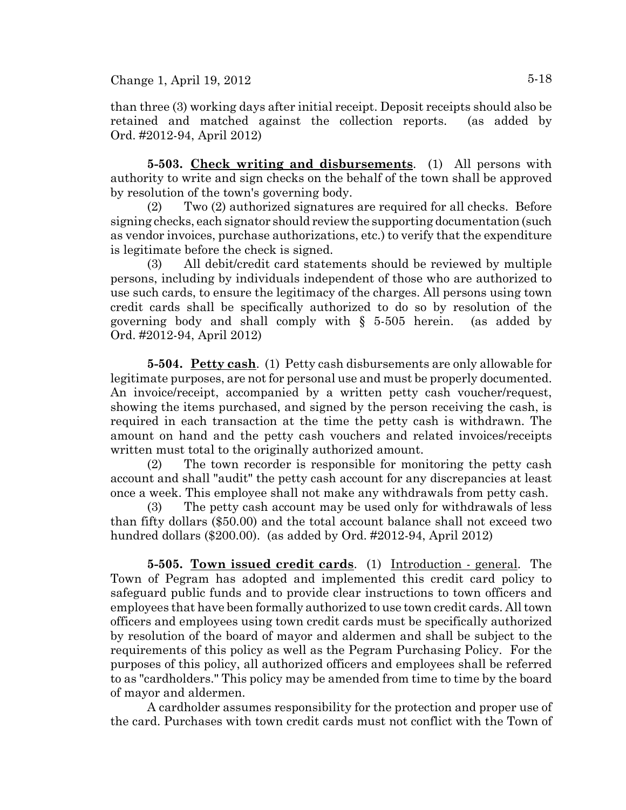than three (3) working days after initial receipt. Deposit receipts should also be retained and matched against the collection reports. (as added by Ord. #2012-94, April 2012)

**5-503. Check writing and disbursements**. (1) All persons with authority to write and sign checks on the behalf of the town shall be approved by resolution of the town's governing body.

(2) Two (2) authorized signatures are required for all checks. Before signing checks, each signator should review the supporting documentation (such as vendor invoices, purchase authorizations, etc.) to verify that the expenditure is legitimate before the check is signed.

(3) All debit/credit card statements should be reviewed by multiple persons, including by individuals independent of those who are authorized to use such cards, to ensure the legitimacy of the charges. All persons using town credit cards shall be specifically authorized to do so by resolution of the governing body and shall comply with § 5-505 herein. (as added by Ord. #2012-94, April 2012)

**5-504. Petty cash**. (1) Petty cash disbursements are only allowable for legitimate purposes, are not for personal use and must be properly documented. An invoice/receipt, accompanied by a written petty cash voucher/request, showing the items purchased, and signed by the person receiving the cash, is required in each transaction at the time the petty cash is withdrawn. The amount on hand and the petty cash vouchers and related invoices/receipts written must total to the originally authorized amount.

(2) The town recorder is responsible for monitoring the petty cash account and shall "audit" the petty cash account for any discrepancies at least once a week. This employee shall not make any withdrawals from petty cash.

(3) The petty cash account may be used only for withdrawals of less than fifty dollars (\$50.00) and the total account balance shall not exceed two hundred dollars (\$200.00). (as added by Ord. #2012-94, April 2012)

**5-505. Town issued credit cards**. (1) Introduction - general. The Town of Pegram has adopted and implemented this credit card policy to safeguard public funds and to provide clear instructions to town officers and employees that have been formally authorized to use town credit cards. All town officers and employees using town credit cards must be specifically authorized by resolution of the board of mayor and aldermen and shall be subject to the requirements of this policy as well as the Pegram Purchasing Policy. For the purposes of this policy, all authorized officers and employees shall be referred to as "cardholders." This policy may be amended from time to time by the board of mayor and aldermen.

A cardholder assumes responsibility for the protection and proper use of the card. Purchases with town credit cards must not conflict with the Town of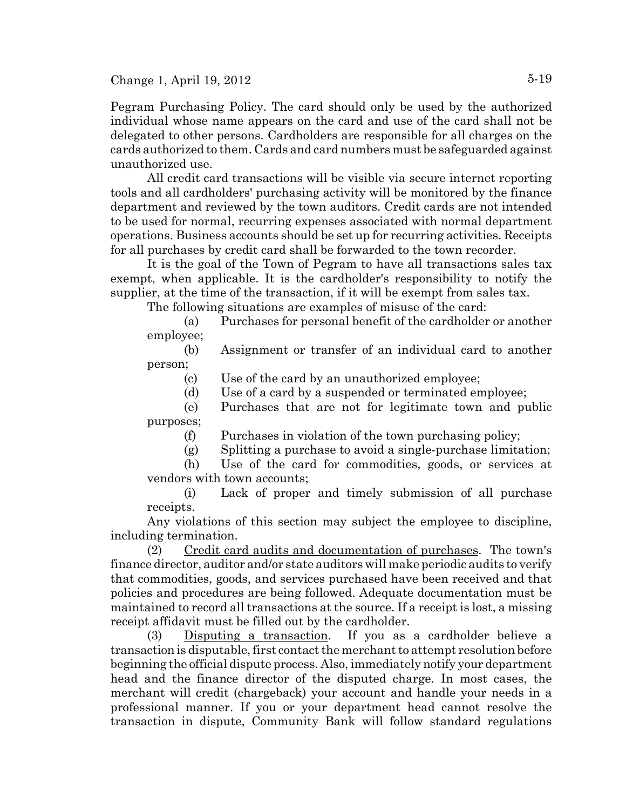Pegram Purchasing Policy. The card should only be used by the authorized individual whose name appears on the card and use of the card shall not be delegated to other persons. Cardholders are responsible for all charges on the cards authorized to them. Cards and card numbers must be safeguarded against unauthorized use.

All credit card transactions will be visible via secure internet reporting tools and all cardholders' purchasing activity will be monitored by the finance department and reviewed by the town auditors. Credit cards are not intended to be used for normal, recurring expenses associated with normal department operations. Business accounts should be set up for recurring activities. Receipts for all purchases by credit card shall be forwarded to the town recorder.

It is the goal of the Town of Pegram to have all transactions sales tax exempt, when applicable. It is the cardholder's responsibility to notify the supplier, at the time of the transaction, if it will be exempt from sales tax.

The following situations are examples of misuse of the card:

(a) Purchases for personal benefit of the cardholder or another employee;

(b) Assignment or transfer of an individual card to another person;

(c) Use of the card by an unauthorized employee;

(d) Use of a card by a suspended or terminated employee;

(e) Purchases that are not for legitimate town and public purposes;

(f) Purchases in violation of the town purchasing policy;

(g) Splitting a purchase to avoid a single-purchase limitation;

(h) Use of the card for commodities, goods, or services at vendors with town accounts;

(i) Lack of proper and timely submission of all purchase receipts.

Any violations of this section may subject the employee to discipline, including termination.

(2) Credit card audits and documentation of purchases. The town's finance director, auditor and/or state auditors will make periodic audits to verify that commodities, goods, and services purchased have been received and that policies and procedures are being followed. Adequate documentation must be maintained to record all transactions at the source. If a receipt is lost, a missing receipt affidavit must be filled out by the cardholder.

(3) Disputing a transaction. If you as a cardholder believe a transaction is disputable, first contact the merchant to attempt resolution before beginning the official dispute process. Also, immediately notify your department head and the finance director of the disputed charge. In most cases, the merchant will credit (chargeback) your account and handle your needs in a professional manner. If you or your department head cannot resolve the transaction in dispute, Community Bank will follow standard regulations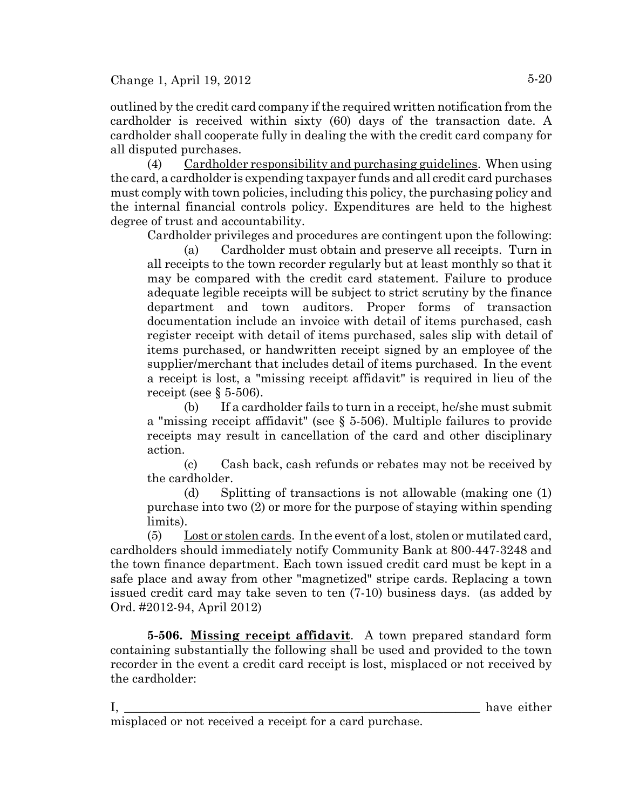outlined by the credit card company if the required written notification from the cardholder is received within sixty (60) days of the transaction date. A cardholder shall cooperate fully in dealing the with the credit card company for all disputed purchases.

(4) Cardholder responsibility and purchasing guidelines. When using the card, a cardholder is expending taxpayer funds and all credit card purchases must comply with town policies, including this policy, the purchasing policy and the internal financial controls policy. Expenditures are held to the highest degree of trust and accountability.

Cardholder privileges and procedures are contingent upon the following:

(a) Cardholder must obtain and preserve all receipts. Turn in all receipts to the town recorder regularly but at least monthly so that it may be compared with the credit card statement. Failure to produce adequate legible receipts will be subject to strict scrutiny by the finance department and town auditors. Proper forms of transaction documentation include an invoice with detail of items purchased, cash register receipt with detail of items purchased, sales slip with detail of items purchased, or handwritten receipt signed by an employee of the supplier/merchant that includes detail of items purchased. In the event a receipt is lost, a "missing receipt affidavit" is required in lieu of the receipt (see  $\S$  5-506).

(b) If a cardholder fails to turn in a receipt, he/she must submit a "missing receipt affidavit" (see § 5-506). Multiple failures to provide receipts may result in cancellation of the card and other disciplinary action.

(c) Cash back, cash refunds or rebates may not be received by the cardholder.

(d) Splitting of transactions is not allowable (making one (1) purchase into two (2) or more for the purpose of staying within spending limits).

(5) Lost or stolen cards. In the event of a lost, stolen or mutilated card, cardholders should immediately notify Community Bank at 800-447-3248 and the town finance department. Each town issued credit card must be kept in a safe place and away from other "magnetized" stripe cards. Replacing a town issued credit card may take seven to ten (7-10) business days. (as added by Ord. #2012-94, April 2012)

**5-506. Missing receipt affidavit**. A town prepared standard form containing substantially the following shall be used and provided to the town recorder in the event a credit card receipt is lost, misplaced or not received by the cardholder:

I, the contract of the contract of the contract of the contract of the contract of the contract of the contract of the contract of the contract of the contract of the contract of the contract of the contract of the contrac misplaced or not received a receipt for a card purchase.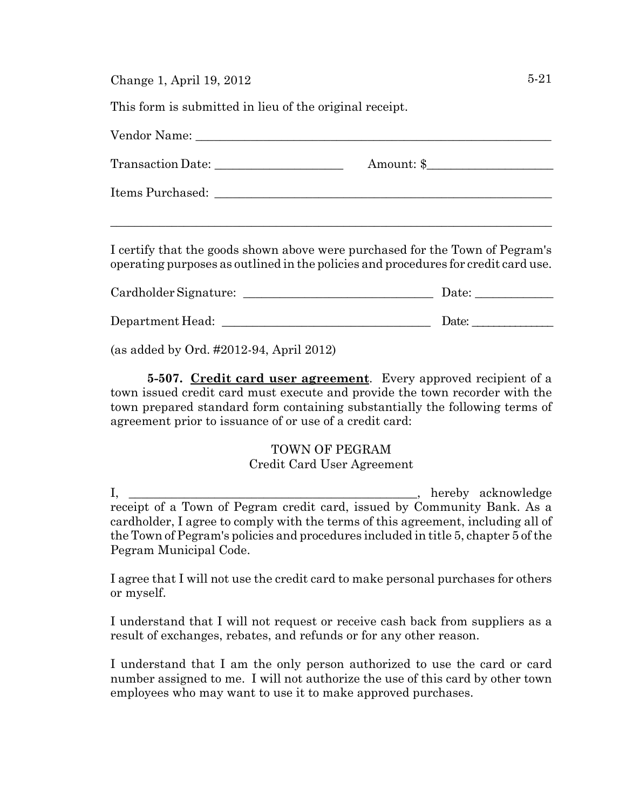This form is submitted in lieu of the original receipt.

| I certify that the goods shown above were purchased for the Town of Pegram's<br>operating purposes as outlined in the policies and procedures for credit card use. |                                                        |
|--------------------------------------------------------------------------------------------------------------------------------------------------------------------|--------------------------------------------------------|
|                                                                                                                                                                    |                                                        |
|                                                                                                                                                                    | Date: $\frac{1}{\sqrt{1-\frac{1}{2}}\cdot\frac{1}{2}}$ |

(as added by Ord. #2012-94, April 2012)

**5-507. Credit card user agreement**. Every approved recipient of a town issued credit card must execute and provide the town recorder with the town prepared standard form containing substantially the following terms of agreement prior to issuance of or use of a credit card:

## TOWN OF PEGRAM

## Credit Card User Agreement

I, the contract of the contract of the contract of the contract of the contract of the contract of the contract of the contract of the contract of the contract of the contract of the contract of the contract of the contrac receipt of a Town of Pegram credit card, issued by Community Bank. As a cardholder, I agree to comply with the terms of this agreement, including all of the Town of Pegram's policies and procedures included in title 5, chapter 5 of the Pegram Municipal Code.

I agree that I will not use the credit card to make personal purchases for others or myself.

I understand that I will not request or receive cash back from suppliers as a result of exchanges, rebates, and refunds or for any other reason.

I understand that I am the only person authorized to use the card or card number assigned to me. I will not authorize the use of this card by other town employees who may want to use it to make approved purchases.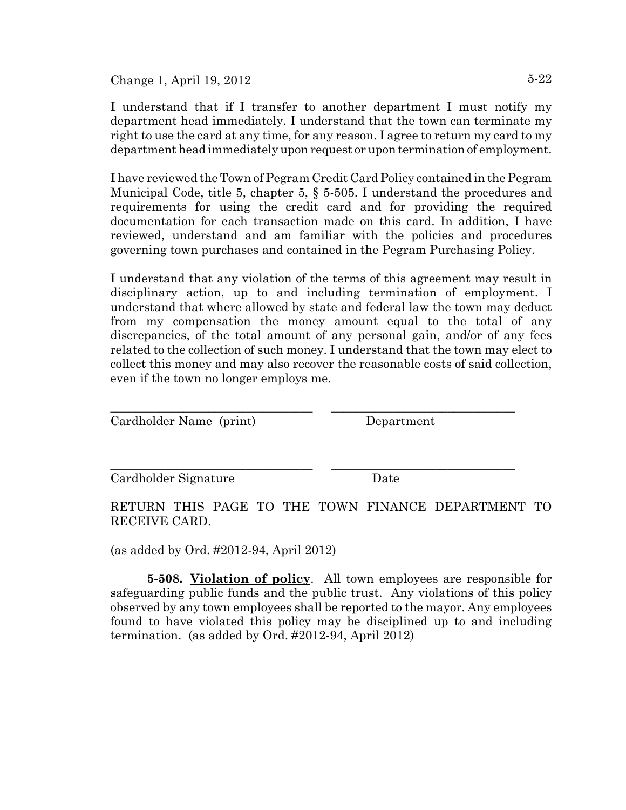I understand that if I transfer to another department I must notify my department head immediately. I understand that the town can terminate my right to use the card at any time, for any reason. I agree to return my card to my department head immediately upon request or upon termination of employment.

I have reviewed the Town of Pegram Credit Card Policy contained in the Pegram Municipal Code, title 5, chapter 5, § 5-505. I understand the procedures and requirements for using the credit card and for providing the required documentation for each transaction made on this card. In addition, I have reviewed, understand and am familiar with the policies and procedures governing town purchases and contained in the Pegram Purchasing Policy.

I understand that any violation of the terms of this agreement may result in disciplinary action, up to and including termination of employment. I understand that where allowed by state and federal law the town may deduct from my compensation the money amount equal to the total of any discrepancies, of the total amount of any personal gain, and/or of any fees related to the collection of such money. I understand that the town may elect to collect this money and may also recover the reasonable costs of said collection, even if the town no longer employs me.

\_\_\_\_\_\_\_\_\_\_\_\_\_\_\_\_\_\_\_\_\_\_\_\_\_\_\_\_\_\_\_\_\_ \_\_\_\_\_\_\_\_\_\_\_\_\_\_\_\_\_\_\_\_\_\_\_\_\_\_\_\_\_\_

\_\_\_\_\_\_\_\_\_\_\_\_\_\_\_\_\_\_\_\_\_\_\_\_\_\_\_\_\_\_\_\_\_ \_\_\_\_\_\_\_\_\_\_\_\_\_\_\_\_\_\_\_\_\_\_\_\_\_\_\_\_\_\_

Cardholder Name (print) Department

Cardholder Signature Date

RETURN THIS PAGE TO THE TOWN FINANCE DEPARTMENT TO RECEIVE CARD.

(as added by Ord. #2012-94, April 2012)

**5-508. Violation of policy**. All town employees are responsible for safeguarding public funds and the public trust. Any violations of this policy observed by any town employees shall be reported to the mayor. Any employees found to have violated this policy may be disciplined up to and including termination. (as added by Ord. #2012-94, April 2012)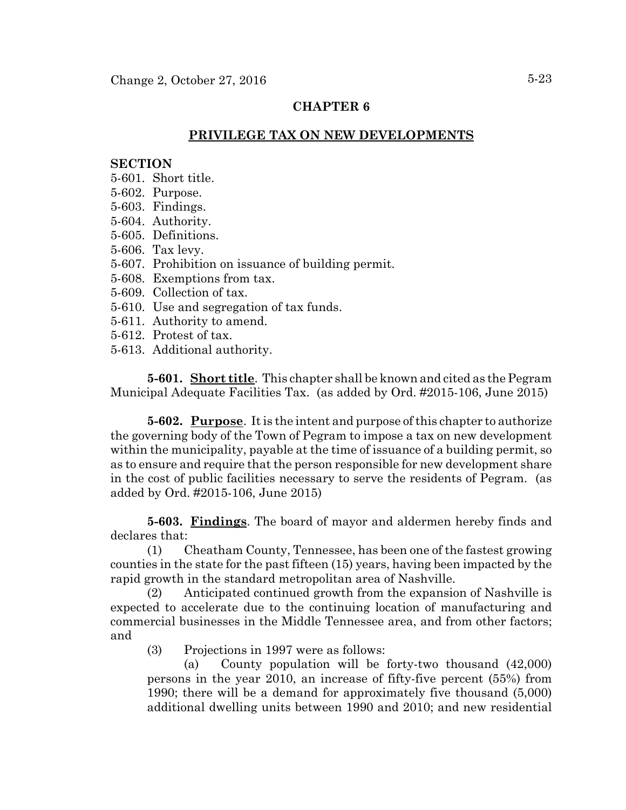### **CHAPTER 6**

## **PRIVILEGE TAX ON NEW DEVELOPMENTS**

### **SECTION**

- 5-601. Short title.
- 5-602. Purpose.
- 5-603. Findings.
- 5-604. Authority.
- 5-605. Definitions.
- 5-606. Tax levy.
- 5-607. Prohibition on issuance of building permit.
- 5-608. Exemptions from tax.
- 5-609. Collection of tax.
- 5-610. Use and segregation of tax funds.
- 5-611. Authority to amend.
- 5-612. Protest of tax.
- 5-613. Additional authority.

**5-601. Short title**. This chapter shall be known and cited as the Pegram Municipal Adequate Facilities Tax. (as added by Ord. #2015-106, June 2015)

**5-602. Purpose**. It is the intent and purpose of this chapter to authorize the governing body of the Town of Pegram to impose a tax on new development within the municipality, payable at the time of issuance of a building permit, so as to ensure and require that the person responsible for new development share in the cost of public facilities necessary to serve the residents of Pegram. (as added by Ord. #2015-106, June 2015)

**5-603. Findings**. The board of mayor and aldermen hereby finds and declares that:

(1) Cheatham County, Tennessee, has been one of the fastest growing counties in the state for the past fifteen (15) years, having been impacted by the rapid growth in the standard metropolitan area of Nashville.

(2) Anticipated continued growth from the expansion of Nashville is expected to accelerate due to the continuing location of manufacturing and commercial businesses in the Middle Tennessee area, and from other factors; and

(3) Projections in 1997 were as follows:

(a) County population will be forty-two thousand (42,000) persons in the year 2010, an increase of fifty-five percent (55%) from 1990; there will be a demand for approximately five thousand (5,000) additional dwelling units between 1990 and 2010; and new residential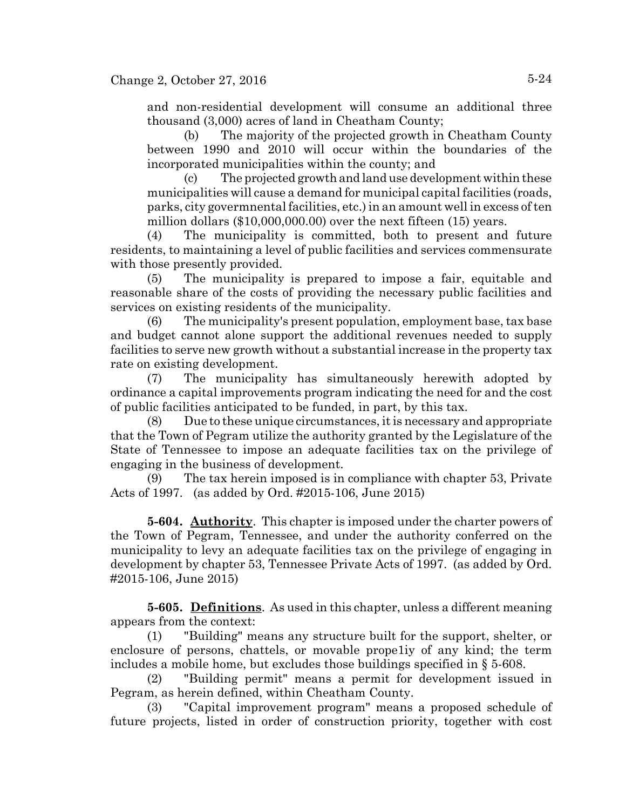and non-residential development will consume an additional three thousand (3,000) acres of land in Cheatham County;

(b) The majority of the projected growth in Cheatham County between 1990 and 2010 will occur within the boundaries of the incorporated municipalities within the county; and

(c) The projected growth and land use development within these municipalities will cause a demand for municipal capital facilities (roads, parks, city govermnental facilities, etc.) in an amount well in excess of ten million dollars (\$10,000,000.00) over the next fifteen (15) years.

(4) The municipality is committed, both to present and future residents, to maintaining a level of public facilities and services commensurate with those presently provided.

(5) The municipality is prepared to impose a fair, equitable and reasonable share of the costs of providing the necessary public facilities and services on existing residents of the municipality.

(6) The municipality's present population, employment base, tax base and budget cannot alone support the additional revenues needed to supply facilities to serve new growth without a substantial increase in the property tax rate on existing development.

(7) The municipality has simultaneously herewith adopted by ordinance a capital improvements program indicating the need for and the cost of public facilities anticipated to be funded, in part, by this tax.

(8) Due to these unique circumstances, it is necessary and appropriate that the Town of Pegram utilize the authority granted by the Legislature of the State of Tennessee to impose an adequate facilities tax on the privilege of engaging in the business of development.

(9) The tax herein imposed is in compliance with chapter 53, Private Acts of 1997. (as added by Ord. #2015-106, June 2015)

**5-604. Authority**. This chapter is imposed under the charter powers of the Town of Pegram, Tennessee, and under the authority conferred on the municipality to levy an adequate facilities tax on the privilege of engaging in development by chapter 53, Tennessee Private Acts of 1997. (as added by Ord. #2015-106, June 2015)

**5-605. Definitions**. As used in this chapter, unless a different meaning appears from the context:

(1) "Building" means any structure built for the support, shelter, or enclosure of persons, chattels, or movable prope1iy of any kind; the term includes a mobile home, but excludes those buildings specified in § 5-608.

(2) "Building permit" means a permit for development issued in Pegram, as herein defined, within Cheatham County.

(3) "Capital improvement program" means a proposed schedule of future projects, listed in order of construction priority, together with cost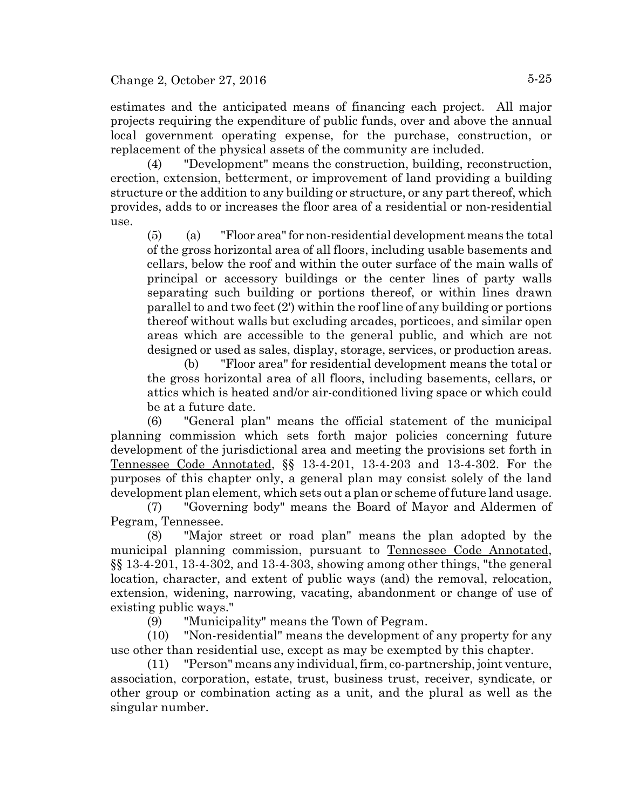estimates and the anticipated means of financing each project. All major projects requiring the expenditure of public funds, over and above the annual local government operating expense, for the purchase, construction, or replacement of the physical assets of the community are included.

(4) "Development" means the construction, building, reconstruction, erection, extension, betterment, or improvement of land providing a building structure or the addition to any building or structure, or any part thereof, which provides, adds to or increases the floor area of a residential or non-residential use.

(5) (a) "Floor area" for non-residential development means the total of the gross horizontal area of all floors, including usable basements and cellars, below the roof and within the outer surface of the main walls of principal or accessory buildings or the center lines of party walls separating such building or portions thereof, or within lines drawn parallel to and two feet (2') within the roof line of any building or portions thereof without walls but excluding arcades, porticoes, and similar open areas which are accessible to the general public, and which are not designed or used as sales, display, storage, services, or production areas.

(b) "Floor area" for residential development means the total or the gross horizontal area of all floors, including basements, cellars, or attics which is heated and/or air-conditioned living space or which could be at a future date.

(6) "General plan" means the official statement of the municipal planning commission which sets forth major policies concerning future development of the jurisdictional area and meeting the provisions set forth in Tennessee Code Annotated, §§ 13-4-201, 13-4-203 and 13-4-302. For the purposes of this chapter only, a general plan may consist solely of the land development plan element, which sets out a plan or scheme of future land usage.

(7) "Governing body" means the Board of Mayor and Aldermen of Pegram, Tennessee.

(8) "Major street or road plan" means the plan adopted by the municipal planning commission, pursuant to Tennessee Code Annotated, §§ 13-4-201, 13-4-302, and 13-4-303, showing among other things, "the general location, character, and extent of public ways (and) the removal, relocation, extension, widening, narrowing, vacating, abandonment or change of use of existing public ways."

(9) "Municipality" means the Town of Pegram.

(10) "Non-residential" means the development of any property for any use other than residential use, except as may be exempted by this chapter.

(11) "Person" means any individual, firm, co-partnership, joint venture, association, corporation, estate, trust, business trust, receiver, syndicate, or other group or combination acting as a unit, and the plural as well as the singular number.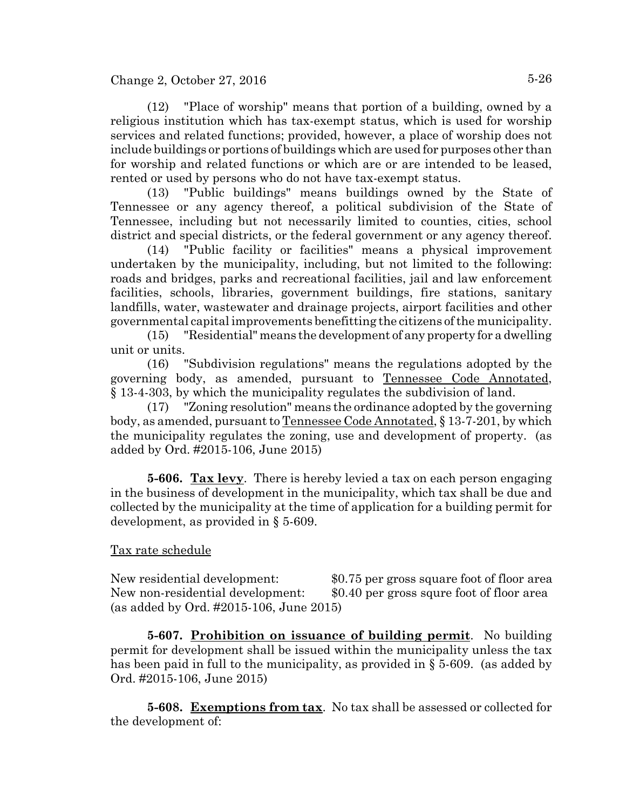(12) "Place of worship" means that portion of a building, owned by a religious institution which has tax-exempt status, which is used for worship services and related functions; provided, however, a place of worship does not include buildings or portions of buildings which are used for purposes other than for worship and related functions or which are or are intended to be leased, rented or used by persons who do not have tax-exempt status.

(13) "Public buildings" means buildings owned by the State of Tennessee or any agency thereof, a political subdivision of the State of Tennessee, including but not necessarily limited to counties, cities, school district and special districts, or the federal government or any agency thereof.

(14) "Public facility or facilities" means a physical improvement undertaken by the municipality, including, but not limited to the following: roads and bridges, parks and recreational facilities, jail and law enforcement facilities, schools, libraries, government buildings, fire stations, sanitary landfills, water, wastewater and drainage projects, airport facilities and other governmental capital improvements benefitting the citizens of the municipality.

(15) "Residential" means the development of any property for a dwelling unit or units.

(16) "Subdivision regulations" means the regulations adopted by the governing body, as amended, pursuant to Tennessee Code Annotated, § 13-4-303, by which the municipality regulates the subdivision of land.

(17) "Zoning resolution" means the ordinance adopted by the governing body, as amended, pursuant to Tennessee Code Annotated, § 13-7-201, by which the municipality regulates the zoning, use and development of property. (as added by Ord. #2015-106, June 2015)

**5-606. Tax levy**. There is hereby levied a tax on each person engaging in the business of development in the municipality, which tax shall be due and collected by the municipality at the time of application for a building permit for development, as provided in § 5-609.

## Tax rate schedule

New residential development: \$0.75 per gross square foot of floor area New non-residential development: \$0.40 per gross squre foot of floor area (as added by Ord. #2015-106, June 2015)

**5-607. Prohibition on issuance of building permit**. No building permit for development shall be issued within the municipality unless the tax has been paid in full to the municipality, as provided in § 5-609. (as added by Ord. #2015-106, June 2015)

**5-608. Exemptions from tax**. No tax shall be assessed or collected for the development of: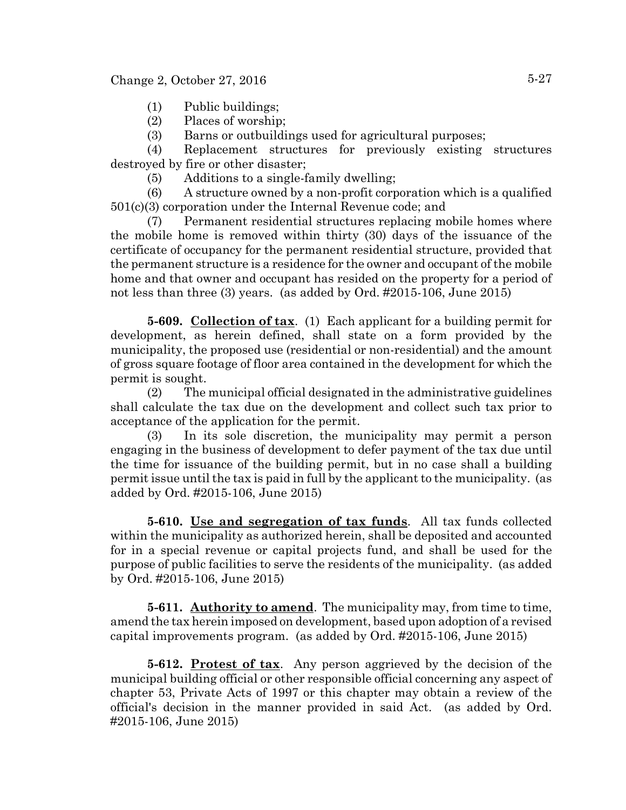- (1) Public buildings;
- (2) Places of worship;
- (3) Barns or outbuildings used for agricultural purposes;

(4) Replacement structures for previously existing structures destroyed by fire or other disaster;

(5) Additions to a single-family dwelling;

(6) A structure owned by a non-profit corporation which is a qualified 501(c)(3) corporation under the Internal Revenue code; and

(7) Permanent residential structures replacing mobile homes where the mobile home is removed within thirty (30) days of the issuance of the certificate of occupancy for the permanent residential structure, provided that the permanent structure is a residence for the owner and occupant of the mobile home and that owner and occupant has resided on the property for a period of not less than three (3) years. (as added by Ord. #2015-106, June 2015)

**5-609. Collection of tax**. (1) Each applicant for a building permit for development, as herein defined, shall state on a form provided by the municipality, the proposed use (residential or non-residential) and the amount of gross square footage of floor area contained in the development for which the permit is sought.

(2) The municipal official designated in the administrative guidelines shall calculate the tax due on the development and collect such tax prior to acceptance of the application for the permit.

(3) In its sole discretion, the municipality may permit a person engaging in the business of development to defer payment of the tax due until the time for issuance of the building permit, but in no case shall a building permit issue until the tax is paid in full by the applicant to the municipality. (as added by Ord. #2015-106, June 2015)

**5-610. Use and segregation of tax funds**. All tax funds collected within the municipality as authorized herein, shall be deposited and accounted for in a special revenue or capital projects fund, and shall be used for the purpose of public facilities to serve the residents of the municipality. (as added by Ord. #2015-106, June 2015)

**5-611.** Authority to amend. The municipality may, from time to time, amend the tax herein imposed on development, based upon adoption of a revised capital improvements program. (as added by Ord. #2015-106, June 2015)

**5-612. Protest of tax**. Any person aggrieved by the decision of the municipal building official or other responsible official concerning any aspect of chapter 53, Private Acts of 1997 or this chapter may obtain a review of the official's decision in the manner provided in said Act. (as added by Ord. #2015-106, June 2015)